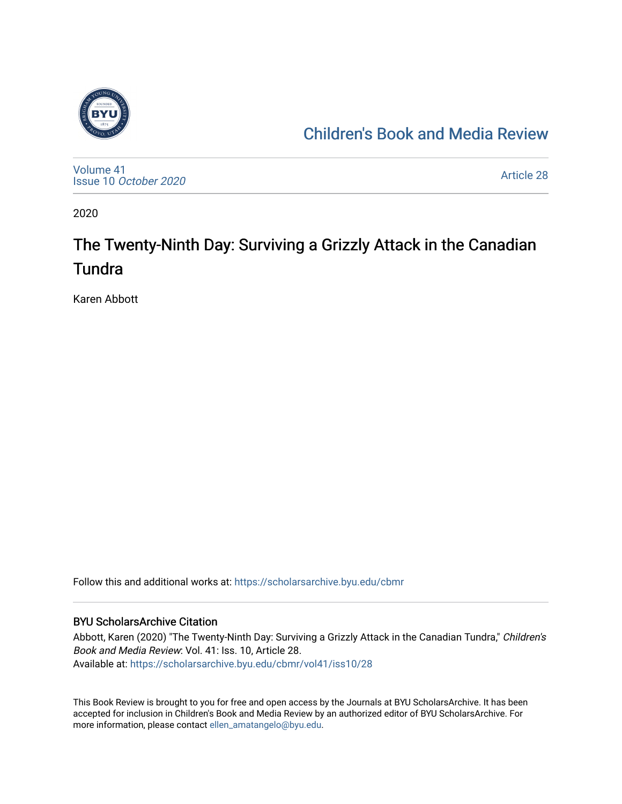

## [Children's Book and Media Review](https://scholarsarchive.byu.edu/cbmr)

[Volume 41](https://scholarsarchive.byu.edu/cbmr/vol41) Issue 10 [October 2020](https://scholarsarchive.byu.edu/cbmr/vol41/iss10)

[Article 28](https://scholarsarchive.byu.edu/cbmr/vol41/iss10/28) 

2020

## The Twenty-Ninth Day: Surviving a Grizzly Attack in the Canadian **Tundra**

Karen Abbott

Follow this and additional works at: [https://scholarsarchive.byu.edu/cbmr](https://scholarsarchive.byu.edu/cbmr?utm_source=scholarsarchive.byu.edu%2Fcbmr%2Fvol41%2Fiss10%2F28&utm_medium=PDF&utm_campaign=PDFCoverPages) 

#### BYU ScholarsArchive Citation

Abbott, Karen (2020) "The Twenty-Ninth Day: Surviving a Grizzly Attack in the Canadian Tundra," Children's Book and Media Review: Vol. 41: Iss. 10, Article 28. Available at: [https://scholarsarchive.byu.edu/cbmr/vol41/iss10/28](https://scholarsarchive.byu.edu/cbmr/vol41/iss10/28?utm_source=scholarsarchive.byu.edu%2Fcbmr%2Fvol41%2Fiss10%2F28&utm_medium=PDF&utm_campaign=PDFCoverPages) 

This Book Review is brought to you for free and open access by the Journals at BYU ScholarsArchive. It has been accepted for inclusion in Children's Book and Media Review by an authorized editor of BYU ScholarsArchive. For more information, please contact [ellen\\_amatangelo@byu.edu.](mailto:ellen_amatangelo@byu.edu)